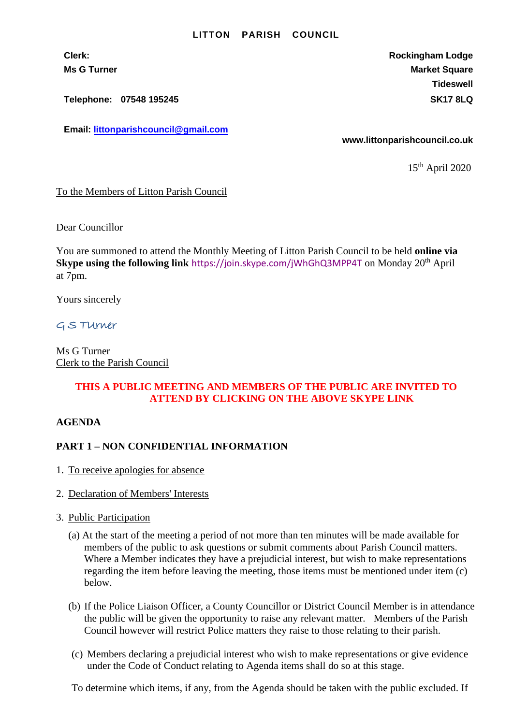#### **LITTON PARISH COUNCIL**

**Clerk: Rockingham Lodge Ms G Turner Market Square** Market Square Market Square Market Square **Tideswell**

**Telephone: 07548 195245 SK17 8LQ**

**Email: [littonparishcouncil@gmail.com](mailto:littonparishcouncil@gmail.com)**

**www.littonparishcouncil.co.uk**

15th April 2020

### To the Members of Litton Parish Council

Dear Councillor

You are summoned to attend the Monthly Meeting of Litton Parish Council to be held **online via Skype using the following link** <https://join.skype.com/jWhGhQ3MPP4T> on Monday 20th April at 7pm.

Yours sincerely

# G S TUrner

Ms G Turner Clerk to the Parish Council

# **THIS A PUBLIC MEETING AND MEMBERS OF THE PUBLIC ARE INVITED TO ATTEND BY CLICKING ON THE ABOVE SKYPE LINK**

### **AGENDA**

# **PART 1 – NON CONFIDENTIAL INFORMATION**

- 1. To receive apologies for absence
- 2. Declaration of Members' Interests
- 3. Public Participation
	- (a) At the start of the meeting a period of not more than ten minutes will be made available for members of the public to ask questions or submit comments about Parish Council matters. Where a Member indicates they have a prejudicial interest, but wish to make representations regarding the item before leaving the meeting, those items must be mentioned under item (c) below.
	- (b) If the Police Liaison Officer, a County Councillor or District Council Member is in attendance the public will be given the opportunity to raise any relevant matter. Members of the Parish Council however will restrict Police matters they raise to those relating to their parish.
	- (c) Members declaring a prejudicial interest who wish to make representations or give evidence under the Code of Conduct relating to Agenda items shall do so at this stage.

To determine which items, if any, from the Agenda should be taken with the public excluded. If